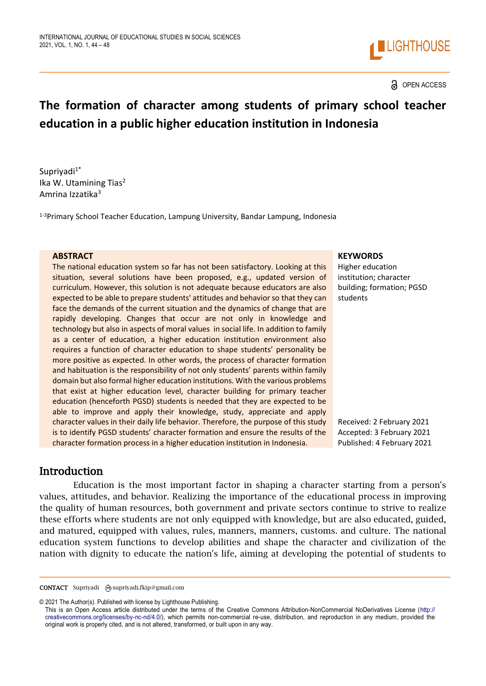

#### a OPEN ACCESS

# **The formation of character among students of primary school teacher education in a public higher education institution in Indonesia**

Suprivadi<sup>1\*</sup> Ika W. Utamining Tias<sup>2</sup> Amrina Izzatika<sup>3</sup>

1-3Primary School Teacher Education, Lampung University, Bandar Lampung, Indonesia

The national education system so far has not been satisfactory. Looking at this situation, several solutions have been proposed, e.g., updated version of curriculum. However, this solution is not adequate because educators are also expected to be able to prepare students' attitudes and behavior so that they can face the demands of the current situation and the dynamics of change that are rapidly developing. Changes that occur are not only in knowledge and technology but also in aspects of moral values in social life. In addition to family as a center of education, a higher education institution environment also requires a function of character education to shape students' personality be more positive as expected. In other words, the process of character formation and habituation is the responsibility of not only students' parents within family domain but also formal higher education institutions. With the various problems that exist at higher education level, character building for primary teacher education (henceforth PGSD) students is needed that they are expected to be able to improve and apply their knowledge, study, appreciate and apply character values in their daily life behavior. Therefore, the purpose of this study is to identify PGSD students' character formation and ensure the results of the character formation process in a higher education institution in Indonesia.

#### **ABSTRACT KEYWORDS**

Higher education institution; character building; formation; PGSD students

Received: 2 February 2021 Accepted: 3 February 2021 Published: 4 February 2021

## Introduction

Education is the most important factor in shaping a character starting from a person's values, attitudes, and behavior. Realizing the importance of the educational process in improving the quality of human resources, both government and private sectors continue to strive to realize these efforts where students are not only equipped with knowledge, but are also educated, guided, and matured, equipped with values, rules, manners, manners, customs. and culture. The national education system functions to develop abilities and shape the character and civilization of the nation with dignity to educate the nation's life, aiming at developing the potential of students to

CONTACT Supriyadi @supriyadi.fkip@gmail.com

<sup>© 2021</sup> The Author(s). Published with license by Lighthouse Publishing.

This is an Open Access article distributed under the terms of the Creative Commons Attribution-NonCommercial NoDerivatives License (http:// creativecommons.org/licenses/by-nc-nd/4.0/), which permits non-commercial re-use, distribution, and reproduction in any medium, provided the original work is properly cited, and is not altered, transformed, or built upon in any way.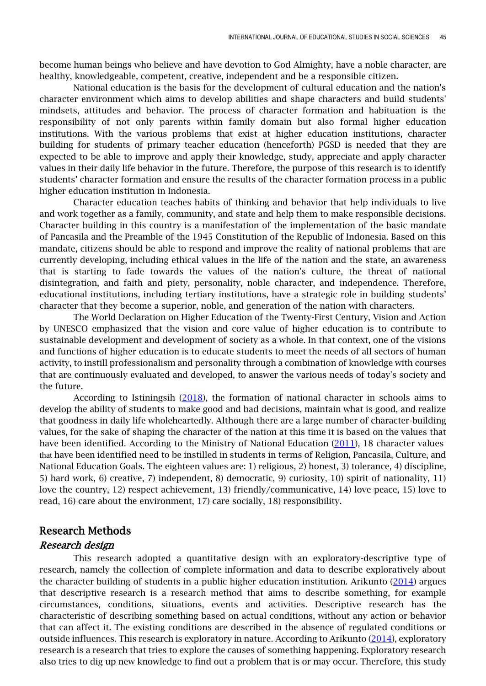become human beings who believe and have devotion to God Almighty, have a noble character, are healthy, knowledgeable, competent, creative, independent and be a responsible citizen.

National education is the basis for the development of cultural education and the nation's character environment which aims to develop abilities and shape characters and build students' mindsets, attitudes and behavior. The process of character formation and habituation is the responsibility of not only parents within family domain but also formal higher education institutions. With the various problems that exist at higher education institutions, character building for students of primary teacher education (henceforth) PGSD is needed that they are expected to be able to improve and apply their knowledge, study, appreciate and apply character values in their daily life behavior in the future. Therefore, the purpose of this research is to identify students' character formation and ensure the results of the character formation process in a public higher education institution in Indonesia.

Character education teaches habits of thinking and behavior that help individuals to live and work together as a family, community, and state and help them to make responsible decisions. Character building in this country is a manifestation of the implementation of the basic mandate of Pancasila and the Preamble of the 1945 Constitution of the Republic of Indonesia. Based on this mandate, citizens should be able to respond and improve the reality of national problems that are currently developing, including ethical values in the life of the nation and the state, an awareness that is starting to fade towards the values of the nation's culture, the threat of national disintegration, and faith and piety, personality, noble character, and independence. Therefore, educational institutions, including tertiary institutions, have a strategic role in building students' character that they become a superior, noble, and generation of the nation with characters.

The World Declaration on Higher Education of the Twenty-First Century, Vision and Action by UNESCO emphasized that the vision and core value of higher education is to contribute to sustainable development and development of society as a whole. In that context, one of the visions and functions of higher education is to educate students to meet the needs of all sectors of human activity, to instill professionalism and personality through a combination of knowledge with courses that are continuously evaluated and developed, to answer the various needs of today's society and the future.

According to Istiningsih [\(2018\)](#page-4-0), the formation of national character in schools aims to develop the ability of students to make good and bad decisions, maintain what is good, and realize that goodness in daily life wholeheartedly. Although there are a large number of character-building values, for the sake of shaping the character of the nation at this time it is based on the values that have been identified. According to the Ministry of National Education [\(2011\)](#page-4-1), 18 character values that have been identified need to be instilled in students in terms of Religion, Pancasila, Culture, and National Education Goals. The eighteen values are: 1) religious, 2) honest, 3) tolerance, 4) discipline, 5) hard work, 6) creative, 7) independent, 8) democratic, 9) curiosity, 10) spirit of nationality, 11) love the country, 12) respect achievement, 13) friendly/communicative, 14) love peace, 15) love to read, 16) care about the environment, 17) care socially, 18) responsibility.

## Research Methods

#### Research design

This research adopted a quantitative design with an exploratory-descriptive type of research, namely the collection of complete information and data to describe exploratively about the character building of students in a public higher education institution. Arikunto [\(2014\)](#page-4-2) argues that descriptive research is a research method that aims to describe something, for example circumstances, conditions, situations, events and activities. Descriptive research has the characteristic of describing something based on actual conditions, without any action or behavior that can affect it. The existing conditions are described in the absence of regulated conditions or outside influences. This research is exploratory in nature. According to Arikunto  $(2014)$ , exploratory research is a research that tries to explore the causes of something happening. Exploratory research also tries to dig up new knowledge to find out a problem that is or may occur. Therefore, this study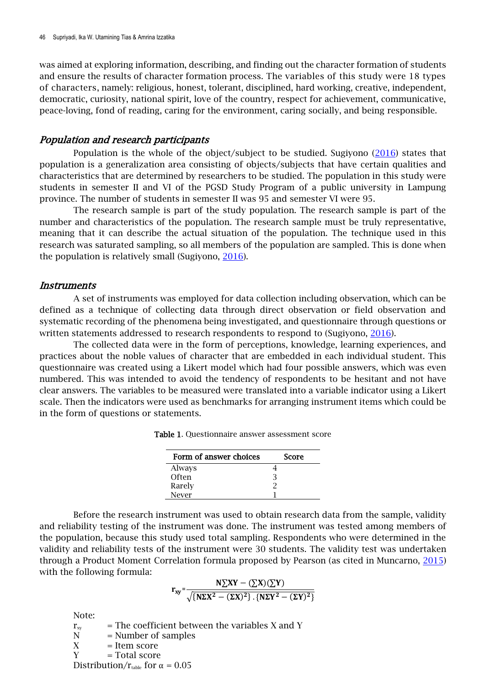was aimed at exploring information, describing, and finding out the character formation of students and ensure the results of character formation process. The variables of this study were 18 types of characters, namely: religious, honest, tolerant, disciplined, hard working, creative, independent, democratic, curiosity, national spirit, love of the country, respect for achievement, communicative, peace-loving, fond of reading, caring for the environment, caring socially, and being responsible.

#### Population and research participants

Population is the whole of the object/subject to be studied. Sugiyono [\(2016\)](#page-4-3) states that population is a generalization area consisting of objects/subjects that have certain qualities and characteristics that are determined by researchers to be studied. The population in this study were students in semester II and VI of the PGSD Study Program of a public university in Lampung province. The number of students in semester II was 95 and semester VI were 95.

The research sample is part of the study population. The research sample is part of the number and characteristics of the population. The research sample must be truly representative, meaning that it can describe the actual situation of the population. The technique used in this research was saturated sampling, so all members of the population are sampled. This is done when the population is relatively small (Sugiyono, [2016\)](#page-4-3).

#### **Instruments**

A set of instruments was employed for data collection including observation, which can be defined as a technique of collecting data through direct observation or field observation and systematic recording of the phenomena being investigated, and questionnaire through questions or written statements addressed to research respondents to respond to (Sugiyono, [2016\)](#page-4-3).

The collected data were in the form of perceptions, knowledge, learning experiences, and practices about the noble values of character that are embedded in each individual student. This questionnaire was created using a Likert model which had four possible answers, which was even numbered. This was intended to avoid the tendency of respondents to be hesitant and not have clear answers. The variables to be measured were translated into a variable indicator using a Likert scale. Then the indicators were used as benchmarks for arranging instrument items which could be in the form of questions or statements.

| Form of answer choices | Score |
|------------------------|-------|
| Always                 |       |
| Often                  |       |
| Rarely                 |       |
| Never                  |       |

| <b>Table 1.</b> Questionnaire answer assessment score |
|-------------------------------------------------------|
|-------------------------------------------------------|

Before the research instrument was used to obtain research data from the sample, validity and reliability testing of the instrument was done. The instrument was tested among members of the population, because this study used total sampling. Respondents who were determined in the validity and reliability tests of the instrument were 30 students. The validity test was undertaken through a Product Moment Correlation formula proposed by Pearson (as cited in Muncarno, [2015\)](#page-4-4) with the following formula:

$$
r_{xy}=\frac{N\sum XY-(\sum X)(\sum Y)}{\sqrt{\{N\Sigma X^2-(\Sigma X)^2\}\cdot\{N\Sigma Y^2-(\Sigma Y)^2\}}}
$$

Note:

 $r_{\rm sw}$  = The coefficient between the variables X and Y  $N =$  Number of samples  $X =$  Item score  $Y = Total score$ Distribution/ $r_{\text{table}}$  for  $\alpha = 0.05$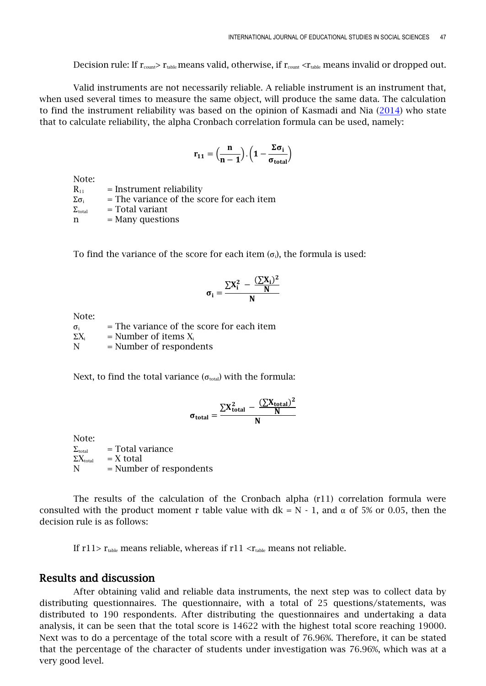Decision rule: If  $r_{\text{count}} > r_{\text{table}}$  means valid, otherwise, if  $r_{\text{count}} < r_{\text{table}}$  means invalid or dropped out.

Valid instruments are not necessarily reliable. A reliable instrument is an instrument that, when used several times to measure the same object, will produce the same data. The calculation to find the instrument reliability was based on the opinion of Kasmadi and Nia  $(2014)$  who state that to calculate reliability, the alpha Cronbach correlation formula can be used, namely:

$$
r_{11}=\Big(\frac{n}{n-1}\Big).\,\Big(1-\frac{\Sigma\sigma_i}{\sigma_{total}}\Big)
$$

Note:

 $R_{11}$  = Instrument reliability  $\Sigma \sigma_i$  = The variance of the score for each item  $\Sigma_{\text{total}}$  = Total variant n = Many questions

To find the variance of the score for each item  $(\sigma_i)$ , the formula is used:

$$
\sigma_i = \frac{\sum X_i^2 ~-~\frac{(\sum X_i)^2}{N}}{N}
$$

Note:

 $\sigma_i$  = The variance of the score for each item  $\Sigma X_i$  = Number of items  $X_i$  $N =$  Number of respondents

Next, to find the total variance ( $\sigma_{total}$ ) with the formula:

$$
\sigma_{\text{total}} = \frac{\sum X_{\text{total}}^2 - \frac{(\sum X_{\text{total}})^2}{N}}{N}
$$

Note:

 $\Sigma_{\text{total}}$  = Total variance  $\Sigma X_{total}$  = X total N = Number of respondents

The results of the calculation of the Cronbach alpha (r11) correlation formula were consulted with the product moment r table value with  $dk = N - 1$ , and  $\alpha$  of 5% or 0.05, then the decision rule is as follows:

If  $r11$   $>r_{table}$  means reliable, whereas if  $r11 < r_{table}$  means not reliable.

### Results and discussion

After obtaining valid and reliable data instruments, the next step was to collect data by distributing questionnaires. The questionnaire, with a total of 25 questions/statements, was distributed to 190 respondents. After distributing the questionnaires and undertaking a data analysis, it can be seen that the total score is 14622 with the highest total score reaching 19000. Next was to do a percentage of the total score with a result of 76.96%. Therefore, it can be stated that the percentage of the character of students under investigation was 76.96%, which was at a very good level.